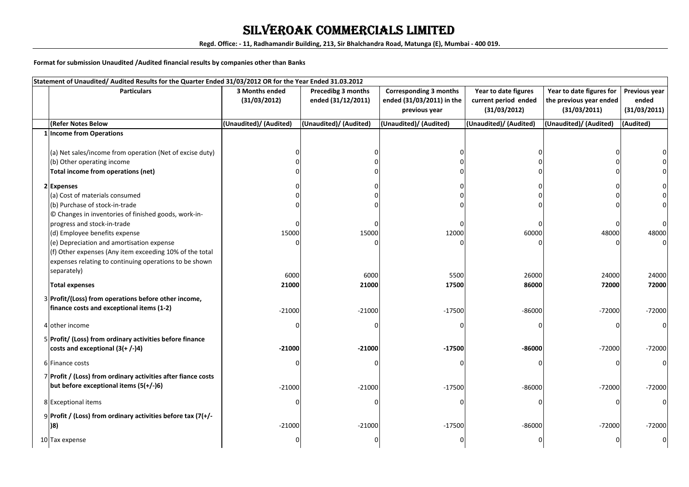### SILVEROAK COMMERCIALS LIMITED

**Regd. Office: - 11, Radhamandir Building, 213, Sir Bhalchandra Road, Matunga (E), Mumbai - 400 019.**

**Format for submission Unaudited /Audited financial results by companies other than Banks**

| Statement of Unaudited/Audited Results for the Quarter Ended 31/03/2012 OR for the Year Ended 31.03.2012 |                        |                           |                               |                        |                          |                |  |
|----------------------------------------------------------------------------------------------------------|------------------------|---------------------------|-------------------------------|------------------------|--------------------------|----------------|--|
| <b>Particulars</b>                                                                                       | 3 Months ended         | <b>Precedibg 3 months</b> | <b>Corresponding 3 months</b> | Year to date figures   | Year to date figures for | Previous year  |  |
|                                                                                                          | (31/03/2012)           | ended (31/12/2011)        | ended (31/03/2011) in the     | current period ended   | the previous year ended  | ended          |  |
|                                                                                                          |                        |                           | previous year                 | (31/03/2012)           | (31/03/2011)             | (31/03/2011)   |  |
| <b>(Refer Notes Below</b>                                                                                | (Unaudited)/ (Audited) | (Unaudited)/ (Audited)    | (Unaudited)/ (Audited)        | (Unaudited)/ (Audited) | (Unaudited)/ (Audited)   | (Audited)      |  |
| 1 Income from Operations                                                                                 |                        |                           |                               |                        |                          |                |  |
|                                                                                                          |                        |                           |                               |                        |                          |                |  |
| (a) Net sales/income from operation (Net of excise duty)                                                 |                        |                           |                               |                        |                          |                |  |
| (b) Other operating income                                                                               |                        |                           |                               |                        |                          |                |  |
| Total income from operations (net)                                                                       |                        |                           |                               |                        |                          |                |  |
| 2 Expenses                                                                                               |                        |                           |                               |                        |                          |                |  |
| (a) Cost of materials consumed                                                                           |                        |                           |                               |                        |                          |                |  |
| (b) Purchase of stock-in-trade                                                                           |                        |                           |                               |                        |                          |                |  |
| © Changes in inventories of finished goods, work-in-                                                     |                        |                           |                               |                        |                          |                |  |
| progress and stock-in-trade                                                                              |                        |                           |                               |                        |                          |                |  |
| (d) Employee benefits expense                                                                            | 15000                  | 15000                     | 12000                         | 60000                  | 48000                    | 48000          |  |
| (e) Depreciation and amortisation expense                                                                |                        |                           |                               |                        |                          |                |  |
| (f) Other expenses (Any item exceeding 10% of the total                                                  |                        |                           |                               |                        |                          |                |  |
| expenses relating to continuing operations to be shown                                                   |                        |                           |                               |                        |                          |                |  |
| separately)                                                                                              |                        |                           |                               |                        |                          |                |  |
| <b>Total expenses</b>                                                                                    | 6000<br>21000          | 6000<br>21000             | 5500<br>17500                 | 26000<br>86000         | 24000<br>72000           | 24000<br>72000 |  |
|                                                                                                          |                        |                           |                               |                        |                          |                |  |
| 3 Profit/(Loss) from operations before other income,                                                     |                        |                           |                               |                        |                          |                |  |
| finance costs and exceptional items (1-2)                                                                | $-21000$               | $-21000$                  | $-17500$                      | $-86000$               | $-72000$                 | $-72000$       |  |
|                                                                                                          |                        |                           |                               |                        |                          | <sup>0</sup>   |  |
| 4 other income                                                                                           |                        |                           |                               |                        |                          |                |  |
| 5 Profit/ (Loss) from ordinary activities before finance                                                 |                        |                           |                               |                        |                          |                |  |
| costs and exceptional $(3(+/-)4)$                                                                        | $-21000$               | $-21000$                  | $-17500$                      | $-86000$               | $-72000$                 | $-72000$       |  |
| 6 Finance costs                                                                                          |                        |                           |                               |                        |                          |                |  |
| 7 Profit / (Loss) from ordinary activities after fiance costs                                            |                        |                           |                               |                        |                          |                |  |
| but before exceptional items (5(+/-)6)                                                                   | $-21000$               | $-21000$                  | $-17500$                      | $-86000$               | $-72000$                 | $-72000$       |  |
|                                                                                                          |                        |                           |                               |                        |                          |                |  |
| 8 Exceptional items                                                                                      |                        |                           |                               |                        |                          |                |  |
| 9 Profit / (Loss) from ordinary activities before tax $(7/+/-)$                                          |                        |                           |                               |                        |                          |                |  |
| 8)                                                                                                       | $-21000$               | $-21000$                  | $-17500$                      | $-86000$               | $-72000$                 | $-72000$       |  |
|                                                                                                          |                        |                           |                               |                        |                          |                |  |
| 10 Tax expense                                                                                           |                        |                           |                               |                        |                          |                |  |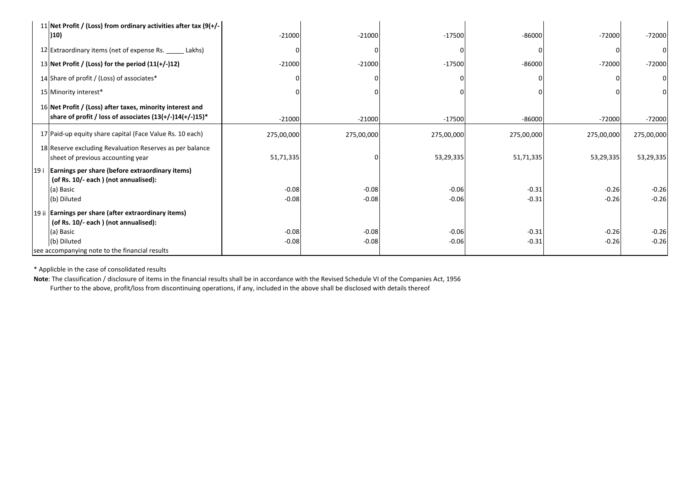|     | 11 Net Profit / (Loss) from ordinary activities after tax $(9(+/-))$ | $-21000$   | $-21000$     | $-17500$   | $-86000$   | $-72000$   | $-72000$   |
|-----|----------------------------------------------------------------------|------------|--------------|------------|------------|------------|------------|
|     | (10)                                                                 |            |              |            |            |            |            |
|     | 12 Extraordinary items (net of expense Rs. ______ Lakhs)             |            | <sup>0</sup> |            |            |            |            |
|     | 13 Net Profit / (Loss) for the period $(11(+/-)12)$                  | $-21000$   | $-21000$     | $-17500$   | $-86000$   | $-72000$   | $-72000$   |
|     | 14 Share of profit / (Loss) of associates*                           |            |              |            |            |            |            |
|     | 15 Minority interest*                                                |            |              |            |            |            |            |
|     | 16 Net Profit / (Loss) after taxes, minority interest and            |            |              |            |            |            |            |
|     | share of profit / loss of associates $(13(+/-)14(+/-)15)*$           | $-21000$   | $-21000$     | $-17500$   | $-86000$   | $-72000$   | $-72000$   |
|     | 17 Paid-up equity share capital (Face Value Rs. 10 each)             | 275,00,000 | 275,00,000   | 275,00,000 | 275,00,000 | 275,00,000 | 275,00,000 |
|     | 18 Reserve excluding Revaluation Reserves as per balance             |            |              |            |            |            |            |
|     | sheet of previous accounting year                                    | 51,71,335  | <sup>0</sup> | 53,29,335  | 51,71,335  | 53,29,335  | 53,29,335  |
| 19i | Earnings per share (before extraordinary items)                      |            |              |            |            |            |            |
|     | (of Rs. 10/- each) (not annualised):                                 |            |              |            |            |            |            |
|     | (a) Basic                                                            | $-0.08$    | $-0.08$      | $-0.06$    | $-0.31$    | $-0.26$    | $-0.26$    |
|     | (b) Diluted                                                          | $-0.08$    | $-0.08$      | $-0.06$    | $-0.31$    | $-0.26$    | $-0.26$    |
|     | 19 ii Earnings per share (after extraordinary items)                 |            |              |            |            |            |            |
|     | (of Rs. 10/- each) (not annualised):                                 |            |              |            |            |            |            |
|     | (a) Basic                                                            | $-0.08$    | $-0.08$      | $-0.06$    | $-0.31$    | $-0.26$    | $-0.26$    |
|     | (b) Diluted                                                          | $-0.08$    | $-0.08$      | $-0.06$    | $-0.31$    | $-0.26$    | $-0.26$    |
|     | see accompanying note to the financial results                       |            |              |            |            |            |            |

\* Applicble in the case of consolidated results

 **Note**: The classification / disclosure of items in the financial results shall be in accordance with the Revised Schedule VI of the Companies Act, 1956. Further to the above, profit/loss from discontinuing operations, if any, included in the above shall be disclosed with details thereof.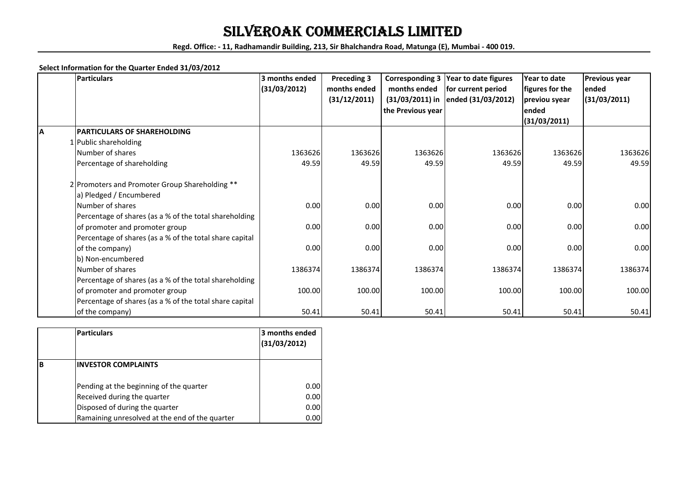## SILVEROAK COMMERCIALS LIMITED

**Regd. Office: - 11, Radhamandir Building, 213, Sir Bhalchandra Road, Matunga (E), Mumbai - 400 019.**

#### **Select Information for the Quarter Ended 31/03/2012**

|    | <b>Particulars</b>                                      | 3 months ended | <b>Preceding 3</b> | <b>Corresponding 3</b> | Year to date figures | Year to date    | Previous year |
|----|---------------------------------------------------------|----------------|--------------------|------------------------|----------------------|-----------------|---------------|
|    |                                                         | (31/03/2012)   | months ended       | months ended           | for current period   | figures for the | ended         |
|    |                                                         |                | (31/12/2011)       | $(31/03/2011)$ in      | ended (31/03/2012)   | previou syear   | (31/03/2011)  |
|    |                                                         |                |                    | the Previous year      |                      | ended           |               |
|    |                                                         |                |                    |                        |                      | (31/03/2011)    |               |
| ΙA | PARTICULARS OF SHAREHOLDING                             |                |                    |                        |                      |                 |               |
|    | 1 Public shareholding                                   |                |                    |                        |                      |                 |               |
|    | Number of shares                                        | 1363626        | 1363626            | 1363626                | 1363626              | 1363626         | 1363626       |
|    | Percentage of shareholding                              | 49.59          | 49.59              | 49.59                  | 49.59                | 49.59           | 49.59         |
|    | 2 Promoters and Promoter Group Shareholding **          |                |                    |                        |                      |                 |               |
|    | a) Pledged / Encumbered                                 |                |                    |                        |                      |                 |               |
|    | Number of shares                                        | 0.00           | 0.00               | 0.00                   | 0.00                 | 0.00            | 0.00          |
|    | Percentage of shares (as a % of the total shareholding  |                |                    |                        |                      |                 |               |
|    | of promoter and promoter group                          | 0.00           | 0.00               | 0.00                   | 0.00                 | 0.00            | 0.00          |
|    | Percentage of shares (as a % of the total share capital |                |                    |                        |                      |                 |               |
|    | of the company)                                         | 0.00           | 0.00               | 0.00                   | 0.00                 | 0.00            | 0.00          |
|    | b) Non-encumbered                                       |                |                    |                        |                      |                 |               |
|    | Number of shares                                        | 1386374        | 1386374            | 1386374                | 1386374              | 1386374         | 1386374       |
|    | Percentage of shares (as a % of the total shareholding  |                |                    |                        |                      |                 |               |
|    | of promoter and promoter group                          | 100.00         | 100.00             | 100.00                 | 100.00               | 100.00          | 100.00        |
|    | Percentage of shares (as a % of the total share capital |                |                    |                        |                      |                 |               |
|    | of the company)                                         | 50.41          | 50.41              | 50.41                  | 50.41                | 50.41           | 50.41         |

|   | <b>Particulars</b>                             | l3 months ended<br>(31/03/2012) |
|---|------------------------------------------------|---------------------------------|
| B | <b>INVESTOR COMPLAINTS</b>                     |                                 |
|   | Pending at the beginning of the quarter        | 0.00                            |
|   | Received during the quarter                    | 0.00                            |
|   | Disposed of during the quarter                 | 0.00                            |
|   | Ramaining unresolved at the end of the quarter | 0.00                            |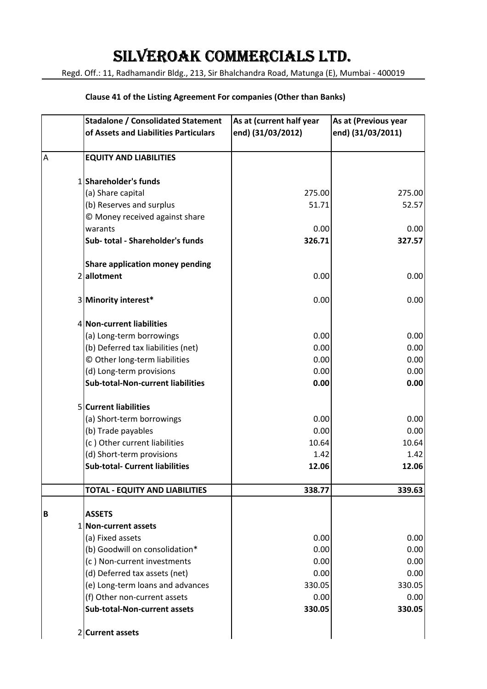# SILVEROAK COMMERCIALS LTD.

Regd. Off.: 11, Radhamandir Bldg., 213, Sir Bhalchandra Road, Matunga (E), Mumbai - 400019

#### **Clause 41 of the Listing Agreement For companies (Other than Banks)**

|   | <b>Stadalone / Consolidated Statement</b><br>of Assets and Liabilities Particulars | As at (current half year<br>end) (31/03/2012) | As at (Previous year<br>end) (31/03/2011) |
|---|------------------------------------------------------------------------------------|-----------------------------------------------|-------------------------------------------|
|   |                                                                                    |                                               |                                           |
| A | <b>EQUITY AND LIABILITIES</b>                                                      |                                               |                                           |
|   | 1 Shareholder's funds                                                              |                                               |                                           |
|   | (a) Share capital                                                                  | 275.00                                        | 275.00                                    |
|   | (b) Reserves and surplus                                                           | 51.71                                         | 52.57                                     |
|   | © Money received against share                                                     |                                               |                                           |
|   | warants                                                                            | 0.00                                          | 0.00                                      |
|   | Sub- total - Shareholder's funds                                                   | 326.71                                        | 327.57                                    |
|   | <b>Share application money pending</b>                                             |                                               |                                           |
|   | 2 allotment                                                                        | 0.00                                          | 0.00                                      |
|   | 3 Minority interest*                                                               | 0.00                                          | 0.00                                      |
|   | 4 Non-current liabilities                                                          |                                               |                                           |
|   | (a) Long-term borrowings                                                           | 0.00                                          | 0.00                                      |
|   | (b) Deferred tax liabilities (net)                                                 | 0.00                                          | 0.00                                      |
|   | © Other long-term liabilities                                                      | 0.00                                          | 0.00                                      |
|   | (d) Long-term provisions                                                           | 0.00                                          | 0.00                                      |
|   | <b>Sub-total-Non-current liabilities</b>                                           | 0.00                                          | 0.00                                      |
|   | 5 Current liabilities                                                              |                                               |                                           |
|   | (a) Short-term borrowings                                                          | 0.00                                          | 0.00                                      |
|   | (b) Trade payables                                                                 | 0.00                                          | 0.00                                      |
|   | (c) Other current liabilities                                                      | 10.64                                         | 10.64                                     |
|   | (d) Short-term provisions                                                          | 1.42                                          | 1.42                                      |
|   | <b>Sub-total- Current liabilities</b>                                              | 12.06                                         | 12.06                                     |
|   | <b>TOTAL - EQUITY AND LIABILITIES</b>                                              | 338.77                                        | 339.63                                    |
| B | <b>ASSETS</b>                                                                      |                                               |                                           |
|   | 1 Non-current assets                                                               |                                               |                                           |
|   | (a) Fixed assets                                                                   | 0.00                                          | 0.00                                      |
|   | (b) Goodwill on consolidation*                                                     | 0.00                                          | 0.00                                      |
|   | (c) Non-current investments                                                        | 0.00                                          | 0.00                                      |
|   | (d) Deferred tax assets (net)                                                      | 0.00                                          | 0.00                                      |
|   | (e) Long-term loans and advances                                                   | 330.05                                        | 330.05                                    |
|   | (f) Other non-current assets                                                       | 0.00                                          | 0.00                                      |
|   | <b>Sub-total-Non-current assets</b>                                                | 330.05                                        | 330.05                                    |
|   | 2 Current assets                                                                   |                                               |                                           |